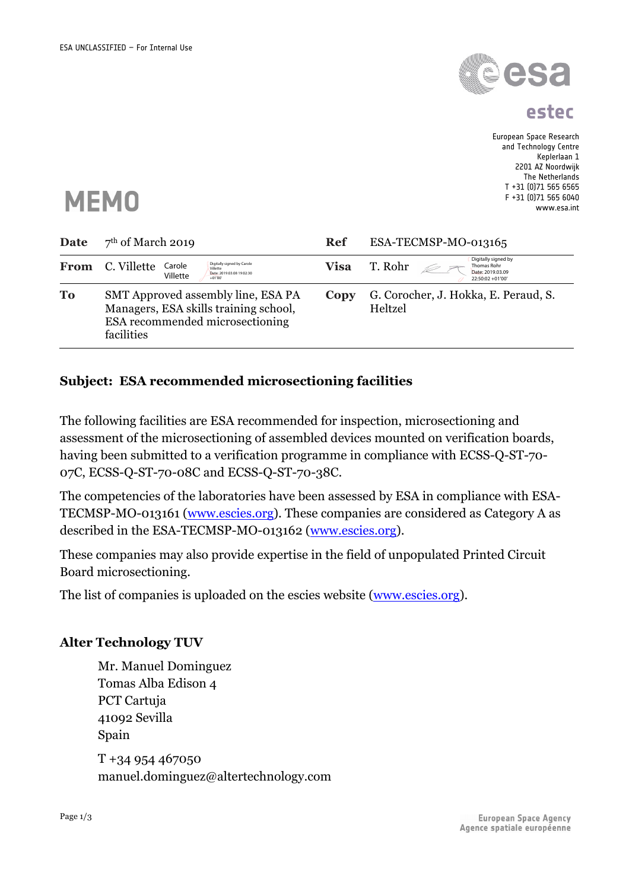

**estec**

European Space Research and Technology Centre Keplerlaan 1 2201 AZ Noordwijk The Netherlands T +31 (0)71 565 6565 F +31 (0)71 565 6040 www.esa.int



| Date | $7th$ of March 2019                                                                                                          | <b>Ref</b>  | ESA-TECMSP-MO-013165                                                                  |
|------|------------------------------------------------------------------------------------------------------------------------------|-------------|---------------------------------------------------------------------------------------|
| From | Digitally signed by Carole<br>C. Villette<br>Carole<br>Villette<br>Date: 2019.03.08 19:02:30<br>Villette<br>$+01'00'$        | <b>Visa</b> | Digitally signed by<br>T. Rohr<br>Thomas Rohr<br>Date: 2019.03.09<br>22:50:02 +01'00' |
| To   | SMT Approved assembly line, ESA PA<br>Managers, ESA skills training school,<br>ESA recommended microsectioning<br>facilities | Copy        | G. Corocher, J. Hokka, E. Peraud, S.<br>Heltzel                                       |

#### **Subject: ESA recommended microsectioning facilities**

The following facilities are ESA recommended for inspection, microsectioning and assessment of the microsectioning of assembled devices mounted on verification boards, having been submitted to a verification programme in compliance with ECSS-Q-ST-70- 07C, ECSS-Q-ST-70-08C and ECSS-Q-ST-70-38C.

The competencies of the laboratories have been assessed by ESA in compliance with ESA-TECMSP-MO-013161 (www.escies.org). These companies are considered as Category A as described in the ESA-TECMSP-MO-013162 (www.escies.org).

These companies may also provide expertise in the field of unpopulated Printed Circuit Board microsectioning.

The list of companies is uploaded on the escies website (www.escies.org).

#### **Alter Technology TUV**

Mr. Manuel Dominguez Tomas Alba Edison 4 PCT Cartuja 41092 Sevilla Spain T +34 954 467050 manuel.dominguez@altertechnology.com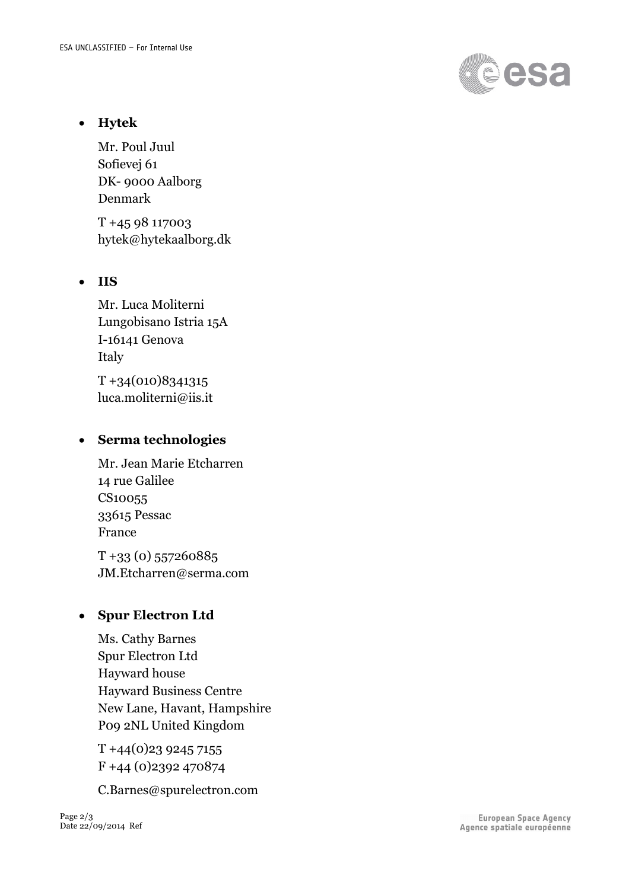

• **Hytek**

Mr. Poul Juul Sofievej 61 DK- 9000 Aalborg Denmark

T +45 98 117003 hytek@hytekaalborg.dk

### • **IIS**

Mr. Luca Moliterni Lungobisano Istria 15A I-16141 Genova Italy T +34(010)8341315 luca.moliterni@iis.it

# • **Serma technologies**

Mr. Jean Marie Etcharren 14 rue Galilee CS10055 33615 Pessac France

 $T + 33 (0) 557260885$ JM.Etcharren@serma.com

# • **Spur Electron Ltd**

Ms. Cathy Barnes Spur Electron Ltd Hayward house Hayward Business Centre New Lane, Havant, Hampshire P09 2NL United Kingdom

T +44(0)23 9245 7155 F +44 (0)2392 470874

C.Barnes@spurelectron.com